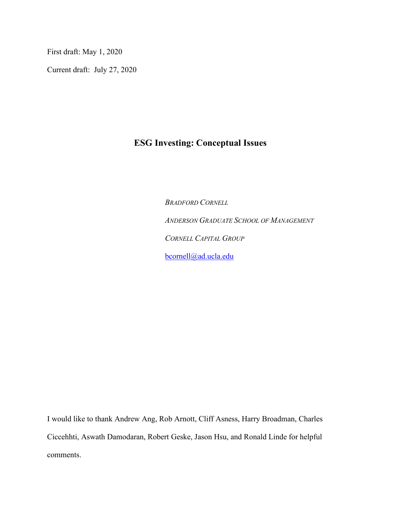First draft: May 1, 2020

Current draft: July 27, 2020

# **ESG Investing: Conceptual Issues**

*BRADFORD CORNELL ANDERSON GRADUATE SCHOOL OF MANAGEMENT CORNELL CAPITAL GROUP* [bcornell@ad.ucla.edu](mailto:bcornell@ad.ucla.edu)

I would like to thank Andrew Ang, Rob Arnott, Cliff Asness, Harry Broadman, Charles Ciccehhti, Aswath Damodaran, Robert Geske, Jason Hsu, and Ronald Linde for helpful comments.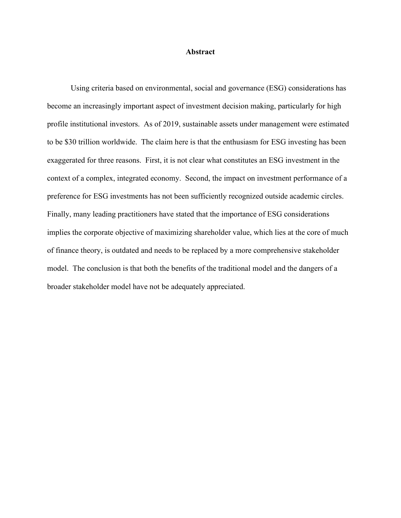## **Abstract**

Using criteria based on environmental, social and governance (ESG) considerations has become an increasingly important aspect of investment decision making, particularly for high profile institutional investors. As of 2019, sustainable assets under management were estimated to be \$30 trillion worldwide. The claim here is that the enthusiasm for ESG investing has been exaggerated for three reasons. First, it is not clear what constitutes an ESG investment in the context of a complex, integrated economy. Second, the impact on investment performance of a preference for ESG investments has not been sufficiently recognized outside academic circles. Finally, many leading practitioners have stated that the importance of ESG considerations implies the corporate objective of maximizing shareholder value, which lies at the core of much of finance theory, is outdated and needs to be replaced by a more comprehensive stakeholder model. The conclusion is that both the benefits of the traditional model and the dangers of a broader stakeholder model have not be adequately appreciated.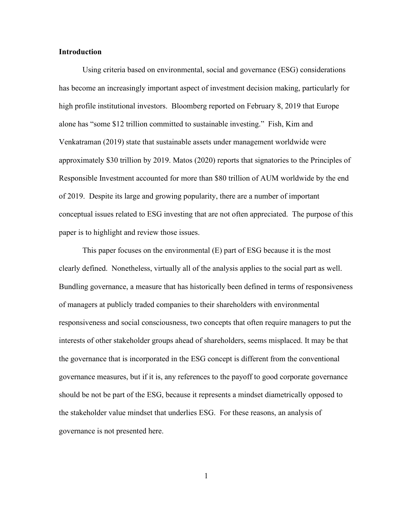# **Introduction**

Using criteria based on environmental, social and governance (ESG) considerations has become an increasingly important aspect of investment decision making, particularly for high profile institutional investors. Bloomberg reported on February 8, 2019 that Europe alone has "some \$12 trillion committed to sustainable investing." Fish, Kim and Venkatraman (2019) state that sustainable assets under management worldwide were approximately \$30 trillion by 2019. Matos (2020) reports that signatories to the Principles of Responsible Investment accounted for more than \$80 trillion of AUM worldwide by the end of 2019. Despite its large and growing popularity, there are a number of important conceptual issues related to ESG investing that are not often appreciated. The purpose of this paper is to highlight and review those issues.

This paper focuses on the environmental (E) part of ESG because it is the most clearly defined. Nonetheless, virtually all of the analysis applies to the social part as well. Bundling governance, a measure that has historically been defined in terms of responsiveness of managers at publicly traded companies to their shareholders with environmental responsiveness and social consciousness, two concepts that often require managers to put the interests of other stakeholder groups ahead of shareholders, seems misplaced. It may be that the governance that is incorporated in the ESG concept is different from the conventional governance measures, but if it is, any references to the payoff to good corporate governance should be not be part of the ESG, because it represents a mindset diametrically opposed to the stakeholder value mindset that underlies ESG. For these reasons, an analysis of governance is not presented here.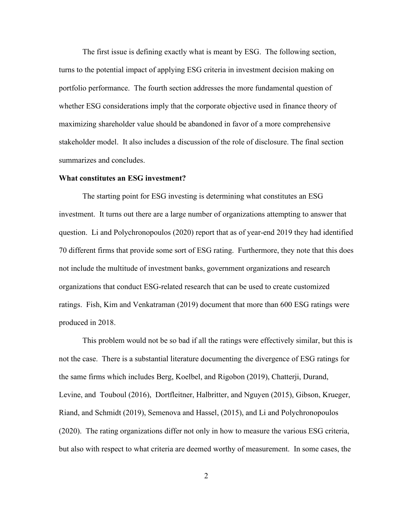The first issue is defining exactly what is meant by ESG. The following section, turns to the potential impact of applying ESG criteria in investment decision making on portfolio performance. The fourth section addresses the more fundamental question of whether ESG considerations imply that the corporate objective used in finance theory of maximizing shareholder value should be abandoned in favor of a more comprehensive stakeholder model. It also includes a discussion of the role of disclosure. The final section summarizes and concludes.

# **What constitutes an ESG investment?**

The starting point for ESG investing is determining what constitutes an ESG investment. It turns out there are a large number of organizations attempting to answer that question. Li and Polychronopoulos (2020) report that as of year-end 2019 they had identified 70 different firms that provide some sort of ESG rating. Furthermore, they note that this does not include the multitude of investment banks, government organizations and research organizations that conduct ESG-related research that can be used to create customized ratings. Fish, Kim and Venkatraman (2019) document that more than 600 ESG ratings were produced in 2018.

This problem would not be so bad if all the ratings were effectively similar, but this is not the case. There is a substantial literature documenting the divergence of ESG ratings for the same firms which includes Berg, Koelbel, and Rigobon (2019), Chatterji, Durand, Levine, and Touboul (2016), Dortfleitner, Halbritter, and Nguyen (2015), Gibson, Krueger, Riand, and Schmidt (2019), Semenova and Hassel, (2015), and Li and Polychronopoulos (2020). The rating organizations differ not only in how to measure the various ESG criteria, but also with respect to what criteria are deemed worthy of measurement. In some cases, the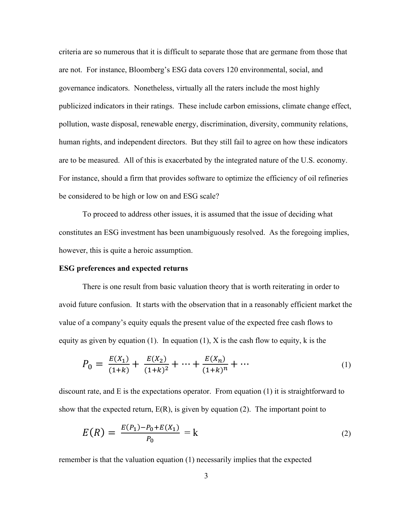criteria are so numerous that it is difficult to separate those that are germane from those that are not. For instance, Bloomberg's ESG data covers 120 environmental, social, and governance indicators. Nonetheless, virtually all the raters include the most highly publicized indicators in their ratings. These include carbon emissions, climate change effect, pollution, waste disposal, renewable energy, discrimination, diversity, community relations, human rights, and independent directors. But they still fail to agree on how these indicators are to be measured. All of this is exacerbated by the integrated nature of the U.S. economy. For instance, should a firm that provides software to optimize the efficiency of oil refineries be considered to be high or low on and ESG scale?

To proceed to address other issues, it is assumed that the issue of deciding what constitutes an ESG investment has been unambiguously resolved. As the foregoing implies, however, this is quite a heroic assumption.

#### **ESG preferences and expected returns**

There is one result from basic valuation theory that is worth reiterating in order to avoid future confusion. It starts with the observation that in a reasonably efficient market the value of a company's equity equals the present value of the expected free cash flows to equity as given by equation (1). In equation (1),  $X$  is the cash flow to equity,  $k$  is the

$$
P_0 = \frac{E(X_1)}{(1+k)} + \frac{E(X_2)}{(1+k)^2} + \dots + \frac{E(X_n)}{(1+k)^n} + \dots
$$
 (1)

discount rate, and E is the expectations operator. From equation (1) it is straightforward to show that the expected return,  $E(R)$ , is given by equation (2). The important point to

$$
E(R) = \frac{E(P_1) - P_0 + E(X_1)}{P_0} = k \tag{2}
$$

remember is that the valuation equation (1) necessarily implies that the expected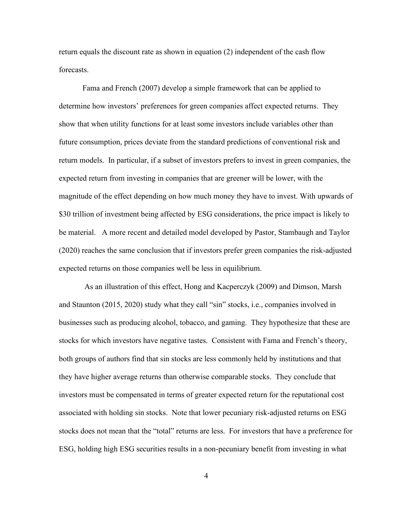return equals the discount rate as shown in equation (2) independent of the cash flow forecasts.

Fama and French (2007) develop a simple framework that can be applied to determine how investors' preferences for green companies affect expected returns. They show that when utility functions for at least some investors include variables other than future consumption, prices deviate from the standard predictions of conventional risk and return models. In particular, if a subset of investors prefers to invest in green companies, the expected return from investing in companies that are greener will be lower, with the magnitude of the effect depending on how much money they have to invest. With upwards of \$30 trillion of investment being affected by ESG considerations, the price impact is likely to be material. A more recent and detailed model developed by Pastor, Stambaugh and Taylor (2020) reaches the same conclusion that if investors prefer green companies the risk-adjusted expected returns on those companies well be less in equilibrium.

As an illustration of this effect, Hong and Kacperczyk (2009) and Dimson, Marsh and Staunton (2015, 2020) study what they call "sin" stocks, i.e., companies involved in businesses such as producing alcohol, tobacco, and gaming. They hypothesize that these are stocks for which investors have negative tastes. Consistent with Fama and French's theory, both groups of authors find that sin stocks are less commonly held by institutions and that they have higher average returns than otherwise comparable stocks. They conclude that investors must be compensated in terms of greater expected return for the reputational cost associated with holding sin stocks. Note that lower pecuniary risk-adjusted returns on ESG stocks does not mean that the "total" returns are less. For investors that have a preference for ESG, holding high ESG securities results in a non-pecuniary benefit from investing in what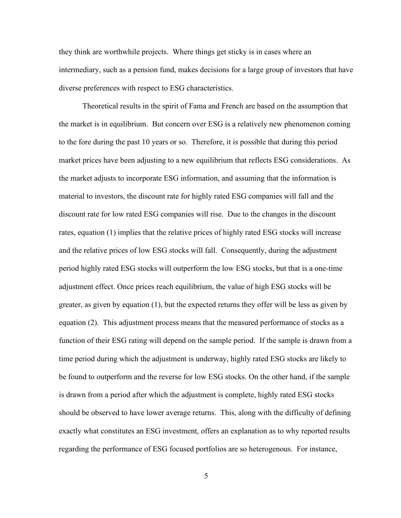they think are worthwhile projects. Where things get sticky is in cases where an intermediary, such as a pension fund, makes decisions for a large group of investors that have diverse preferences with respect to ESG characteristics.

Theoretical results in the spirit of Fama and French are based on the assumption that the market is in equilibrium. But concern over ESG is a relatively new phenomenon coming to the fore during the past 10 years or so. Therefore, it is possible that during this period market prices have been adjusting to a new equilibrium that reflects ESG considerations. As the market adjusts to incorporate ESG information, and assuming that the information is material to investors, the discount rate for highly rated ESG companies will fall and the discount rate for low rated ESG companies will rise. Due to the changes in the discount rates, equation (1) implies that the relative prices of highly rated ESG stocks will increase and the relative prices of low ESG stocks will fall. Consequently, during the adjustment period highly rated ESG stocks will outperform the low ESG stocks, but that is a one-time adjustment effect. Once prices reach equilibrium, the value of high ESG stocks will be greater, as given by equation (1), but the expected returns they offer will be less as given by equation (2). This adjustment process means that the measured performance of stocks as a function of their ESG rating will depend on the sample period. If the sample is drawn from a time period during which the adjustment is underway, highly rated ESG stocks are likely to be found to outperform and the reverse for low ESG stocks. On the other hand, if the sample is drawn from a period after which the adjustment is complete, highly rated ESG stocks should be observed to have lower average returns. This, along with the difficulty of defining exactly what constitutes an ESG investment, offers an explanation as to why reported results regarding the performance of ESG focused portfolios are so heterogenous. For instance,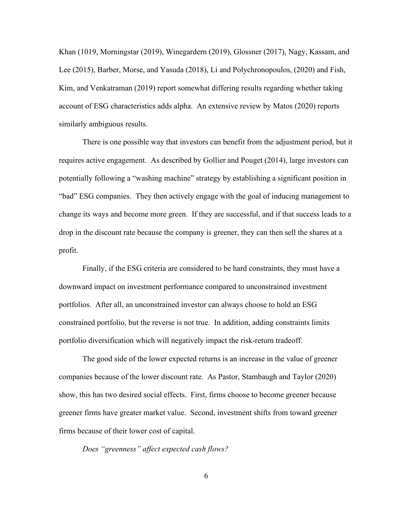Khan (1019, Morningstar (2019), Winegardern (2019), Glossner (2017), Nagy, Kassam, and Lee (2015), Barber, Morse, and Yasuda (2018), Li and Polychronopoulos, (2020) and Fish, Kim, and Venkatraman (2019) report somewhat differing results regarding whether taking account of ESG characteristics adds alpha. An extensive review by Matos (2020) reports similarly ambiguous results.

There is one possible way that investors can benefit from the adjustment period, but it requires active engagement. As described by Gollier and Pouget (2014), large investors can potentially following a "washing machine" strategy by establishing a significant position in "bad" ESG companies. They then actively engage with the goal of inducing management to change its ways and become more green. If they are successful, and if that success leads to a drop in the discount rate because the company is greener, they can then sell the shares at a profit.

Finally, if the ESG criteria are considered to be hard constraints, they must have a downward impact on investment performance compared to unconstrained investment portfolios. After all, an unconstrained investor can always choose to hold an ESG constrained portfolio, but the reverse is not true. In addition, adding constraints limits portfolio diversification which will negatively impact the risk-return tradeoff.

The good side of the lower expected returns is an increase in the value of greener companies because of the lower discount rate. As Pastor, Stambaugh and Taylor (2020) show, this has two desired social effects. First, firms choose to become greener because greener firms have greater market value. Second, investment shifts from toward greener firms because of their lower cost of capital.

*Does "greenness" affect expected cash flows?*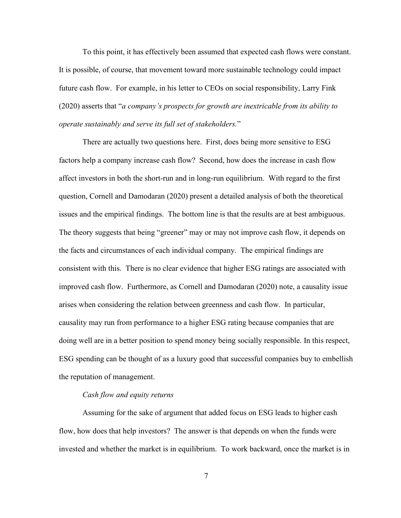To this point, it has effectively been assumed that expected cash flows were constant. It is possible, of course, that movement toward more sustainable technology could impact future cash flow. For example, in his letter to CEOs on social responsibility, Larry Fink (2020) asserts that "*a company's prospects for growth are inextricable from its ability to operate sustainably and serve its full set of stakeholders.*"

There are actually two questions here. First, does being more sensitive to ESG factors help a company increase cash flow? Second, how does the increase in cash flow affect investors in both the short-run and in long-run equilibrium. With regard to the first question, Cornell and Damodaran (2020) present a detailed analysis of both the theoretical issues and the empirical findings. The bottom line is that the results are at best ambiguous. The theory suggests that being "greener" may or may not improve cash flow, it depends on the facts and circumstances of each individual company. The empirical findings are consistent with this. There is no clear evidence that higher ESG ratings are associated with improved cash flow. Furthermore, as Cornell and Damodaran (2020) note, a causality issue arises when considering the relation between greenness and cash flow. In particular, causality may run from performance to a higher ESG rating because companies that are doing well are in a better position to spend money being socially responsible. In this respect, ESG spending can be thought of as a luxury good that successful companies buy to embellish the reputation of management.

#### *Cash flow and equity returns*

Assuming for the sake of argument that added focus on ESG leads to higher cash flow, how does that help investors? The answer is that depends on when the funds were invested and whether the market is in equilibrium. To work backward, once the market is in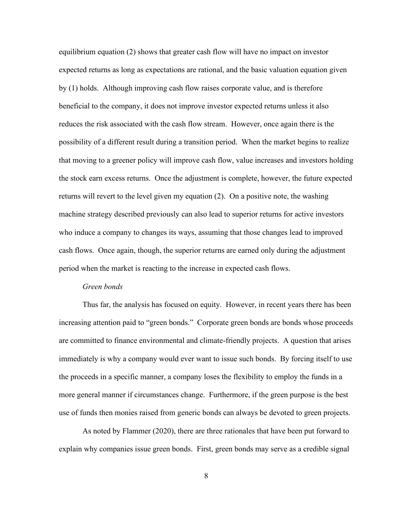equilibrium equation (2) shows that greater cash flow will have no impact on investor expected returns as long as expectations are rational, and the basic valuation equation given by (1) holds. Although improving cash flow raises corporate value, and is therefore beneficial to the company, it does not improve investor expected returns unless it also reduces the risk associated with the cash flow stream. However, once again there is the possibility of a different result during a transition period. When the market begins to realize that moving to a greener policy will improve cash flow, value increases and investors holding the stock earn excess returns. Once the adjustment is complete, however, the future expected returns will revert to the level given my equation (2). On a positive note, the washing machine strategy described previously can also lead to superior returns for active investors who induce a company to changes its ways, assuming that those changes lead to improved cash flows. Once again, though, the superior returns are earned only during the adjustment period when the market is reacting to the increase in expected cash flows.

## *Green bonds*

Thus far, the analysis has focused on equity. However, in recent years there has been increasing attention paid to "green bonds." Corporate green bonds are bonds whose proceeds are committed to finance environmental and climate-friendly projects. A question that arises immediately is why a company would ever want to issue such bonds. By forcing itself to use the proceeds in a specific manner, a company loses the flexibility to employ the funds in a more general manner if circumstances change. Furthermore, if the green purpose is the best use of funds then monies raised from generic bonds can always be devoted to green projects.

As noted by Flammer (2020), there are three rationales that have been put forward to explain why companies issue green bonds. First, green bonds may serve as a credible signal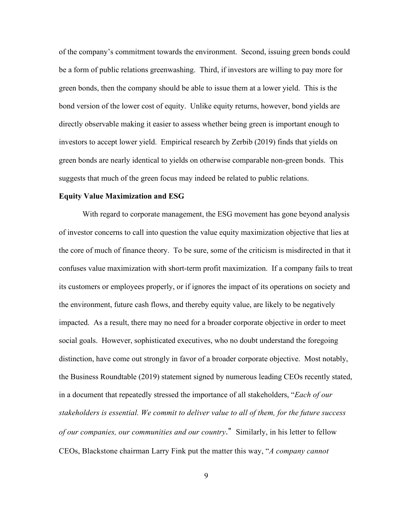of the company's commitment towards the environment. Second, issuing green bonds could be a form of public relations greenwashing. Third, if investors are willing to pay more for green bonds, then the company should be able to issue them at a lower yield. This is the bond version of the lower cost of equity. Unlike equity returns, however, bond yields are directly observable making it easier to assess whether being green is important enough to investors to accept lower yield. Empirical research by Zerbib (2019) finds that yields on green bonds are nearly identical to yields on otherwise comparable non-green bonds. This suggests that much of the green focus may indeed be related to public relations.

#### **Equity Value Maximization and ESG**

With regard to corporate management, the ESG movement has gone beyond analysis of investor concerns to call into question the value equity maximization objective that lies at the core of much of finance theory. To be sure, some of the criticism is misdirected in that it confuses value maximization with short-term profit maximization. If a company fails to treat its customers or employees properly, or if ignores the impact of its operations on society and the environment, future cash flows, and thereby equity value, are likely to be negatively impacted. As a result, there may no need for a broader corporate objective in order to meet social goals. However, sophisticated executives, who no doubt understand the foregoing distinction, have come out strongly in favor of a broader corporate objective. Most notably, the Business Roundtable (2019) statement signed by numerous leading CEOs recently stated, in a document that repeatedly stressed the importance of all stakeholders, "*Each of our stakeholders is essential. We commit to deliver value to all of them, for the future success of our companies, our communities and our country.*" Similarly, in his letter to fellow CEOs, Blackstone chairman Larry Fink put the matter this way, "*A company cannot*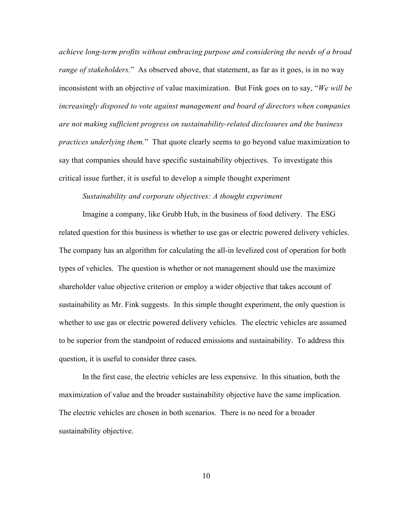*achieve long-term profits without embracing purpose and considering the needs of a broad range of stakeholders.*" As observed above, that statement, as far as it goes, is in no way inconsistent with an objective of value maximization. But Fink goes on to say, "*We will be increasingly disposed to vote against management and board of directors when companies are not making sufficient progress on sustainability-related disclosures and the business practices underlying them.*" That quote clearly seems to go beyond value maximization to say that companies should have specific sustainability objectives. To investigate this critical issue further, it is useful to develop a simple thought experiment

## *Sustainability and corporate objectives: A thought experiment*

Imagine a company, like Grubb Hub, in the business of food delivery. The ESG related question for this business is whether to use gas or electric powered delivery vehicles. The company has an algorithm for calculating the all-in levelized cost of operation for both types of vehicles. The question is whether or not management should use the maximize shareholder value objective criterion or employ a wider objective that takes account of sustainability as Mr. Fink suggests. In this simple thought experiment, the only question is whether to use gas or electric powered delivery vehicles. The electric vehicles are assumed to be superior from the standpoint of reduced emissions and sustainability. To address this question, it is useful to consider three cases.

In the first case, the electric vehicles are less expensive. In this situation, both the maximization of value and the broader sustainability objective have the same implication. The electric vehicles are chosen in both scenarios. There is no need for a broader sustainability objective.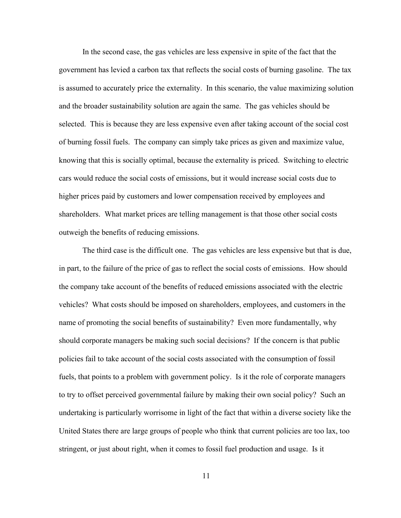In the second case, the gas vehicles are less expensive in spite of the fact that the government has levied a carbon tax that reflects the social costs of burning gasoline. The tax is assumed to accurately price the externality. In this scenario, the value maximizing solution and the broader sustainability solution are again the same. The gas vehicles should be selected. This is because they are less expensive even after taking account of the social cost of burning fossil fuels. The company can simply take prices as given and maximize value, knowing that this is socially optimal, because the externality is priced. Switching to electric cars would reduce the social costs of emissions, but it would increase social costs due to higher prices paid by customers and lower compensation received by employees and shareholders. What market prices are telling management is that those other social costs outweigh the benefits of reducing emissions.

The third case is the difficult one. The gas vehicles are less expensive but that is due, in part, to the failure of the price of gas to reflect the social costs of emissions. How should the company take account of the benefits of reduced emissions associated with the electric vehicles? What costs should be imposed on shareholders, employees, and customers in the name of promoting the social benefits of sustainability? Even more fundamentally, why should corporate managers be making such social decisions? If the concern is that public policies fail to take account of the social costs associated with the consumption of fossil fuels, that points to a problem with government policy. Is it the role of corporate managers to try to offset perceived governmental failure by making their own social policy? Such an undertaking is particularly worrisome in light of the fact that within a diverse society like the United States there are large groups of people who think that current policies are too lax, too stringent, or just about right, when it comes to fossil fuel production and usage. Is it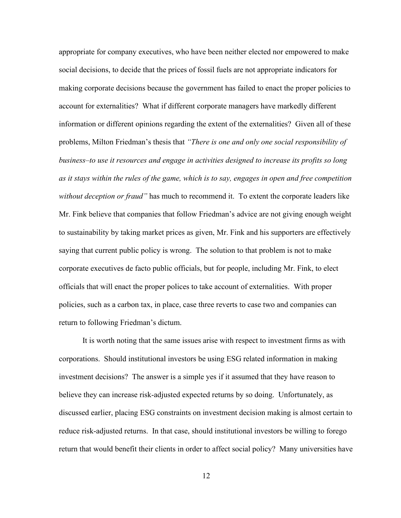appropriate for company executives, who have been neither elected nor empowered to make social decisions, to decide that the prices of fossil fuels are not appropriate indicators for making corporate decisions because the government has failed to enact the proper policies to account for externalities? What if different corporate managers have markedly different information or different opinions regarding the extent of the externalities? Given all of these problems, Milton Friedman's thesis that *"There is one and only one social responsibility of business–to use it resources and engage in activities designed to increase its profits so long as it stays within the rules of the game, which is to say, engages in open and free competition without deception or fraud"* has much to recommend it. To extent the corporate leaders like Mr. Fink believe that companies that follow Friedman's advice are not giving enough weight to sustainability by taking market prices as given, Mr. Fink and his supporters are effectively saying that current public policy is wrong. The solution to that problem is not to make corporate executives de facto public officials, but for people, including Mr. Fink, to elect officials that will enact the proper polices to take account of externalities. With proper policies, such as a carbon tax, in place, case three reverts to case two and companies can return to following Friedman's dictum.

It is worth noting that the same issues arise with respect to investment firms as with corporations. Should institutional investors be using ESG related information in making investment decisions? The answer is a simple yes if it assumed that they have reason to believe they can increase risk-adjusted expected returns by so doing. Unfortunately, as discussed earlier, placing ESG constraints on investment decision making is almost certain to reduce risk-adjusted returns. In that case, should institutional investors be willing to forego return that would benefit their clients in order to affect social policy? Many universities have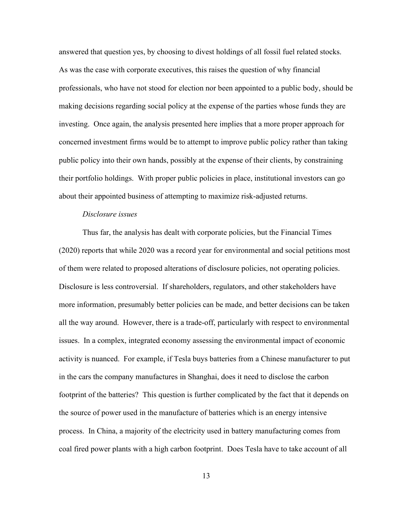answered that question yes, by choosing to divest holdings of all fossil fuel related stocks. As was the case with corporate executives, this raises the question of why financial professionals, who have not stood for election nor been appointed to a public body, should be making decisions regarding social policy at the expense of the parties whose funds they are investing. Once again, the analysis presented here implies that a more proper approach for concerned investment firms would be to attempt to improve public policy rather than taking public policy into their own hands, possibly at the expense of their clients, by constraining their portfolio holdings. With proper public policies in place, institutional investors can go about their appointed business of attempting to maximize risk-adjusted returns.

# *Disclosure issues*

Thus far, the analysis has dealt with corporate policies, but the Financial Times (2020) reports that while 2020 was a record year for environmental and social petitions most of them were related to proposed alterations of disclosure policies, not operating policies. Disclosure is less controversial. If shareholders, regulators, and other stakeholders have more information, presumably better policies can be made, and better decisions can be taken all the way around. However, there is a trade-off, particularly with respect to environmental issues. In a complex, integrated economy assessing the environmental impact of economic activity is nuanced. For example, if Tesla buys batteries from a Chinese manufacturer to put in the cars the company manufactures in Shanghai, does it need to disclose the carbon footprint of the batteries? This question is further complicated by the fact that it depends on the source of power used in the manufacture of batteries which is an energy intensive process. In China, a majority of the electricity used in battery manufacturing comes from coal fired power plants with a high carbon footprint. Does Tesla have to take account of all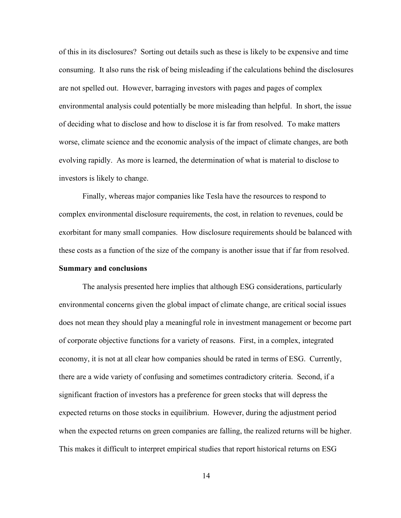of this in its disclosures? Sorting out details such as these is likely to be expensive and time consuming. It also runs the risk of being misleading if the calculations behind the disclosures are not spelled out. However, barraging investors with pages and pages of complex environmental analysis could potentially be more misleading than helpful. In short, the issue of deciding what to disclose and how to disclose it is far from resolved. To make matters worse, climate science and the economic analysis of the impact of climate changes, are both evolving rapidly. As more is learned, the determination of what is material to disclose to investors is likely to change.

Finally, whereas major companies like Tesla have the resources to respond to complex environmental disclosure requirements, the cost, in relation to revenues, could be exorbitant for many small companies. How disclosure requirements should be balanced with these costs as a function of the size of the company is another issue that if far from resolved. **Summary and conclusions**

The analysis presented here implies that although ESG considerations, particularly environmental concerns given the global impact of climate change, are critical social issues does not mean they should play a meaningful role in investment management or become part of corporate objective functions for a variety of reasons. First, in a complex, integrated economy, it is not at all clear how companies should be rated in terms of ESG. Currently, there are a wide variety of confusing and sometimes contradictory criteria. Second, if a significant fraction of investors has a preference for green stocks that will depress the expected returns on those stocks in equilibrium. However, during the adjustment period when the expected returns on green companies are falling, the realized returns will be higher. This makes it difficult to interpret empirical studies that report historical returns on ESG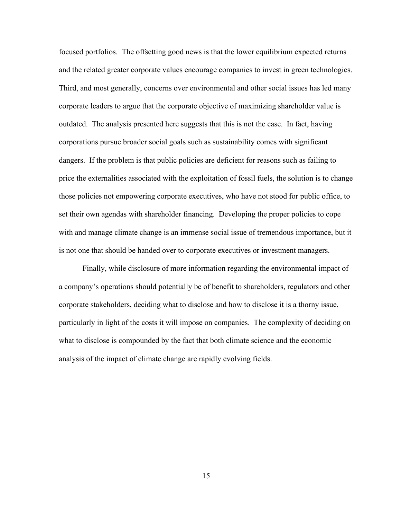focused portfolios. The offsetting good news is that the lower equilibrium expected returns and the related greater corporate values encourage companies to invest in green technologies. Third, and most generally, concerns over environmental and other social issues has led many corporate leaders to argue that the corporate objective of maximizing shareholder value is outdated. The analysis presented here suggests that this is not the case. In fact, having corporations pursue broader social goals such as sustainability comes with significant dangers. If the problem is that public policies are deficient for reasons such as failing to price the externalities associated with the exploitation of fossil fuels, the solution is to change those policies not empowering corporate executives, who have not stood for public office, to set their own agendas with shareholder financing. Developing the proper policies to cope with and manage climate change is an immense social issue of tremendous importance, but it is not one that should be handed over to corporate executives or investment managers.

Finally, while disclosure of more information regarding the environmental impact of a company's operations should potentially be of benefit to shareholders, regulators and other corporate stakeholders, deciding what to disclose and how to disclose it is a thorny issue, particularly in light of the costs it will impose on companies. The complexity of deciding on what to disclose is compounded by the fact that both climate science and the economic analysis of the impact of climate change are rapidly evolving fields.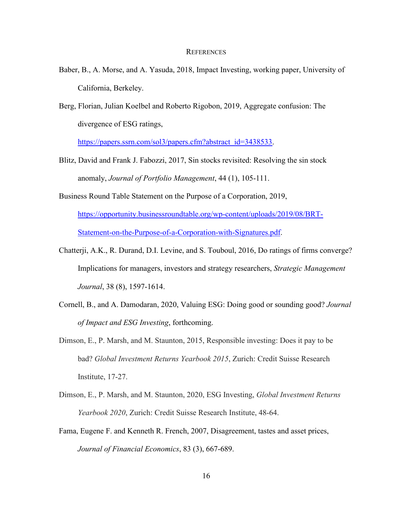#### **REFERENCES**

- Baber, B., A. Morse, and A. Yasuda, 2018, Impact Investing, working paper, University of California, Berkeley.
- Berg, Florian, Julian Koelbel and Roberto Rigobon, 2019, Aggregate confusion: The divergence of ESG ratings,

[https://papers.ssrn.com/sol3/papers.cfm?abstract\\_id=3438533.](https://papers.ssrn.com/sol3/papers.cfm?abstract_id=3438533)

- Blitz, David and Frank J. Fabozzi, 2017, Sin stocks revisited: Resolving the sin stock anomaly, *Journal of Portfolio Management*, 44 (1), 105-111.
- Business Round Table Statement on the Purpose of a Corporation, 2019,

[https://opportunity.businessroundtable.org/wp-content/uploads/2019/08/BRT-](https://opportunity.businessroundtable.org/wp-content/uploads/2019/08/BRT-Statement-on-the-Purpose-of-a-Corporation-with-Signatures.pdf)[Statement-on-the-Purpose-of-a-Corporation-with-Signatures.pdf.](https://opportunity.businessroundtable.org/wp-content/uploads/2019/08/BRT-Statement-on-the-Purpose-of-a-Corporation-with-Signatures.pdf)

- Chatterji, A.K., R. Durand, D.I. Levine, and S. Touboul, 2016, Do ratings of firms converge? Implications for managers, investors and strategy researchers, *Strategic Management Journal*, 38 (8), 1597-1614.
- Cornell, B., and A. Damodaran, 2020, Valuing ESG: Doing good or sounding good? *[Journal](https://papers.ssrn.com/sol3/papers.cfm?abstract_id=3557432) of Impact and ESG Investing*, forthcoming.
- Dimson, E., P. Marsh, and M. Staunton, 2015, Responsible investing: Does it pay to be bad? *Global Investment Returns Yearbook 2015*, Zurich: Credit Suisse Research Institute, 17-27.
- Dimson, E., P. Marsh, and M. Staunton, 2020, ESG Investing, *Global Investment Returns Yearbook 2020*, Zurich: Credit Suisse Research Institute, 48-64.
- Fama, Eugene F. and Kenneth R. French, 2007, Disagreement, tastes and asset prices, *Journal of Financial Economics*, 83 (3), 667-689.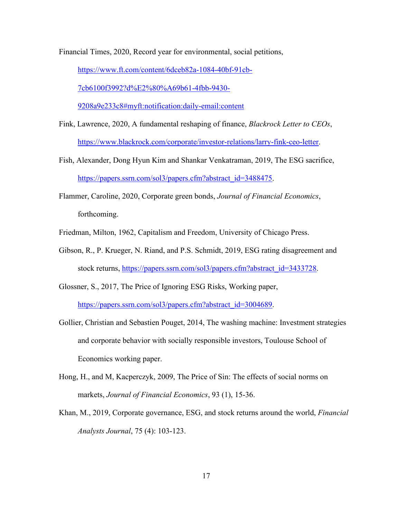Financial Times, 2020, Record year for environmental, social petitions,

[https://www.ft.com/content/6dceb82a-1084-40bf-91cb-](https://www.ft.com/content/6dceb82a-1084-40bf-91cb-7cb6100f3992?d%E2%80%A69b61-4fbb-9430-9208a9e233c8#myft:notification:daily-email:content)

[7cb6100f3992?d%E2%80%A69b61-4fbb-9430-](https://www.ft.com/content/6dceb82a-1084-40bf-91cb-7cb6100f3992?d%E2%80%A69b61-4fbb-9430-9208a9e233c8#myft:notification:daily-email:content)

[9208a9e233c8#myft:notification:daily-email:content](https://www.ft.com/content/6dceb82a-1084-40bf-91cb-7cb6100f3992?d%E2%80%A69b61-4fbb-9430-9208a9e233c8#myft:notification:daily-email:content)

- Fink, Lawrence, 2020, A fundamental reshaping of finance, *Blackrock Letter to CEOs*, [https://www.blackrock.com/corporate/investor-relations/larry-fink-ceo-letter.](https://www.blackrock.com/corporate/investor-relations/larry-fink-ceo-letter)
- Fish, Alexander, Dong Hyun Kim and Shankar Venkatraman, 2019, The ESG sacrifice, [https://papers.ssrn.com/sol3/papers.cfm?abstract\\_id=3488475.](https://papers.ssrn.com/sol3/papers.cfm?abstract_id=3488475)
- Flammer, Caroline, 2020, Corporate green bonds, *Journal of Financial Economics*, forthcoming.
- Friedman, Milton, 1962, Capitalism and Freedom, University of Chicago Press.
- Gibson, R., P. Krueger, N. Riand, and P.S. Schmidt, 2019, ESG rating disagreement and stock returns, [https://papers.ssrn.com/sol3/papers.cfm?abstract\\_id=3433728.](https://papers.ssrn.com/sol3/papers.cfm?abstract_id=3433728)
- Glossner, S., 2017, The Price of Ignoring ESG Risks, Working paper, [https://papers.ssrn.com/sol3/papers.cfm?abstract\\_id=3004689.](https://papers.ssrn.com/sol3/papers.cfm?abstract_id=3004689)
- Gollier, Christian and Sebastien Pouget, 2014, The washing machine: Investment strategies and corporate behavior with socially responsible investors, Toulouse School of Economics working paper.
- Hong, H., and M, Kacperczyk, 2009, The Price of Sin: The effects of social norms on markets, *Journal of Financial Economics*, 93 (1), 15-36.
- Khan, M., 2019, Corporate governance, ESG, and stock returns around the world, *Financial Analysts Journal*, 75 (4): 103-123.